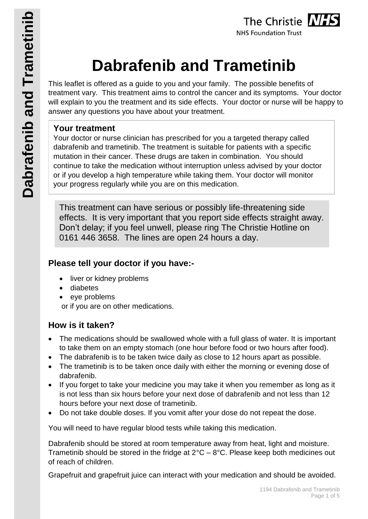

# **Dabrafenib and Trametinib**

This leaflet is offered as a guide to you and your family. The possible benefits of treatment vary. This treatment aims to control the cancer and its symptoms. Your doctor will explain to you the treatment and its side effects. Your doctor or nurse will be happy to answer any questions you have about your treatment.

## **Your treatment**

Your doctor or nurse clinician has prescribed for you a targeted therapy called dabrafenib and trametinib. The treatment is suitable for patients with a specific mutation in their cancer. These drugs are taken in combination. You should continue to take the medication without interruption unless advised by your doctor or if you develop a high temperature while taking them. Your doctor will monitor your progress regularly while you are on this medication.

This treatment can have serious or possibly life-threatening side effects. It is very important that you report side effects straight away. Don't delay; if you feel unwell, please ring The Christie Hotline on 0161 446 3658. The lines are open 24 hours a day.

## **Please tell your doctor if you have:-**

- liver or kidney problems
- diabetes
- eve problems

or if you are on other medications.

## **How is it taken?**

- The medications should be swallowed whole with a full glass of water. It is important to take them on an empty stomach (one hour before food or two hours after food).
- The dabrafenib is to be taken twice daily as close to 12 hours apart as possible.
- The trametinib is to be taken once daily with either the morning or evening dose of dabrafenib.
- If you forget to take your medicine you may take it when you remember as long as it is not less than six hours before your next dose of dabrafenib and not less than 12 hours before your next dose of trametinib.
- Do not take double doses. If you vomit after your dose do not repeat the dose.

You will need to have regular blood tests while taking this medication.

Dabrafenib should be stored at room temperature away from heat, light and moisture. Trametinib should be stored in the fridge at  $2^{\circ}C - 8^{\circ}C$ . Please keep both medicines out of reach of children.

Grapefruit and grapefruit juice can interact with your medication and should be avoided.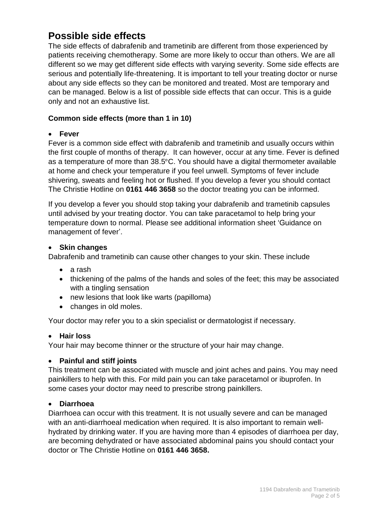# **Possible side effects**

The side effects of dabrafenib and trametinib are different from those experienced by patients receiving chemotherapy. Some are more likely to occur than others. We are all different so we may get different side effects with varying severity. Some side effects are serious and potentially life-threatening. It is important to tell your treating doctor or nurse about any side effects so they can be monitored and treated. Most are temporary and can be managed. Below is a list of possible side effects that can occur. This is a guide only and not an exhaustive list.

#### **Common side effects (more than 1 in 10)**

#### **Fever**

Fever is a common side effect with dabrafenib and trametinib and usually occurs within the first couple of months of therapy. It can however, occur at any time. Fever is defined as a temperature of more than 38.5°C. You should have a digital thermometer available at home and check your temperature if you feel unwell. Symptoms of fever include shivering, sweats and feeling hot or flushed. If you develop a fever you should contact The Christie Hotline on **0161 446 3658** so the doctor treating you can be informed.

If you develop a fever you should stop taking your dabrafenib and trametinib capsules until advised by your treating doctor. You can take paracetamol to help bring your temperature down to normal. Please see additional information sheet 'Guidance on management of fever'.

#### **Skin changes**

Dabrafenib and trametinib can cause other changes to your skin. These include

- a rash
- thickening of the palms of the hands and soles of the feet; this may be associated with a tingling sensation
- new lesions that look like warts (papilloma)
- changes in old moles.

Your doctor may refer you to a skin specialist or dermatologist if necessary.

#### **Hair loss**

Your hair may become thinner or the structure of your hair may change.

#### **Painful and stiff joints**

This treatment can be associated with muscle and joint aches and pains. You may need painkillers to help with this. For mild pain you can take paracetamol or ibuprofen. In some cases your doctor may need to prescribe strong painkillers.

#### **Diarrhoea**

Diarrhoea can occur with this treatment. It is not usually severe and can be managed with an anti-diarrhoeal medication when required. It is also important to remain wellhydrated by drinking water. If you are having more than 4 episodes of diarrhoea per day, are becoming dehydrated or have associated abdominal pains you should contact your doctor or The Christie Hotline on **0161 446 3658.**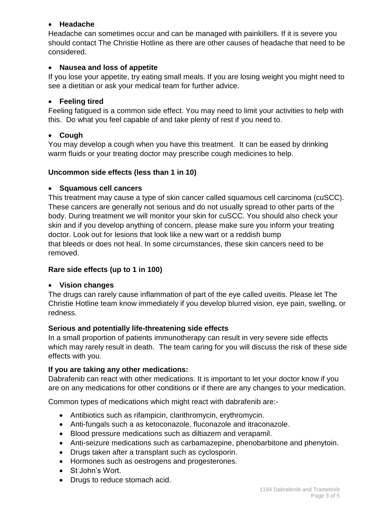#### **Headache**

Headache can sometimes occur and can be managed with painkillers. If it is severe you should contact The Christie Hotline as there are other causes of headache that need to be considered.

#### **Nausea and loss of appetite**

If you lose your appetite, try eating small meals. If you are losing weight you might need to see a dietitian or ask your medical team for further advice.

#### **Feeling tired**

Feeling fatigued is a common side effect. You may need to limit your activities to help with this. Do what you feel capable of and take plenty of rest if you need to.

#### **Cough**

You may develop a cough when you have this treatment. It can be eased by drinking warm fluids or your treating doctor may prescribe cough medicines to help.

#### **Uncommon side effects (less than 1 in 10)**

#### **Squamous cell cancers**

This treatment may cause a type of skin cancer called squamous cell carcinoma (cuSCC). These cancers are generally not serious and do not usually spread to other parts of the body. During treatment we will monitor your skin for cuSCC. You should also check your skin and if you develop anything of concern, please make sure you inform your treating doctor. Look out for lesions that look like a new wart or a reddish bump that bleeds or does not heal. In some circumstances, these skin cancers need to be removed.

#### **Rare side effects (up to 1 in 100)**

#### **Vision changes**

The drugs can rarely cause inflammation of part of the eye called uveitis. Please let The Christie Hotline team know immediately if you develop blurred vision, eye pain, swelling, or redness.

#### **Serious and potentially life-threatening side effects**

In a small proportion of patients immunotherapy can result in very severe side effects which may rarely result in death. The team caring for you will discuss the risk of these side effects with you.

#### **If you are taking any other medications:**

Dabrafenib can react with other medications. It is important to let your doctor know if you are on any medications for other conditions or if there are any changes to your medication.

Common types of medications which might react with dabrafenib are:-

- Antibiotics such as rifampicin, clarithromycin, erythromycin.
- Anti-fungals such a as ketoconazole, fluconazole and itraconazole.
- Blood pressure medications such as diltiazem and verapamil.
- Anti-seizure medications such as carbamazepine, phenobarbitone and phenytoin.
- Drugs taken after a transplant such as cyclosporin.
- Hormones such as oestrogens and progesterones.
- St John's Wort.
- Drugs to reduce stomach acid.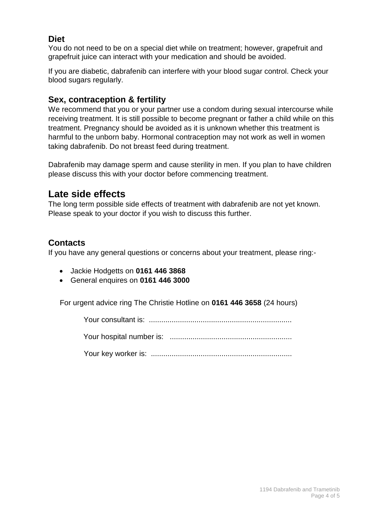## **Diet**

You do not need to be on a special diet while on treatment; however, grapefruit and grapefruit juice can interact with your medication and should be avoided.

If you are diabetic, dabrafenib can interfere with your blood sugar control. Check your blood sugars regularly.

### **Sex, contraception & fertility**

We recommend that you or your partner use a condom during sexual intercourse while receiving treatment. It is still possible to become pregnant or father a child while on this treatment. Pregnancy should be avoided as it is unknown whether this treatment is harmful to the unborn baby. Hormonal contraception may not work as well in women taking dabrafenib. Do not breast feed during treatment.

Dabrafenib may damage sperm and cause sterility in men. If you plan to have children please discuss this with your doctor before commencing treatment.

# **Late side effects**

The long term possible side effects of treatment with dabrafenib are not yet known. Please speak to your doctor if you wish to discuss this further.

## **Contacts**

If you have any general questions or concerns about your treatment, please ring:-

- Jackie Hodgetts on **0161 446 3868**
- General enquires on **0161 446 3000**

For urgent advice ring The Christie Hotline on **0161 446 3658** (24 hours)

Your consultant is: .....................................................................

Your hospital number is: ...........................................................

Your key worker is: ....................................................................